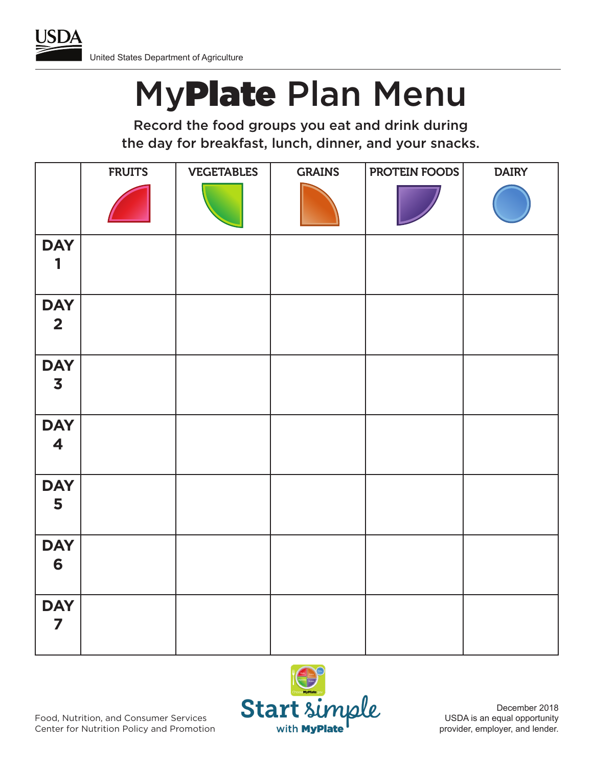

## MyPlate Plan Menu

Record the food groups you eat and drink during the day for breakfast, lunch, dinner, and your snacks.

|                                       | <b>FRUITS</b> | <b>VEGETABLES</b> | <b>GRAINS</b> | PROTEIN FOODS | <b>DAIRY</b> |
|---------------------------------------|---------------|-------------------|---------------|---------------|--------------|
|                                       |               |                   |               |               |              |
| <b>DAY</b><br>1                       |               |                   |               |               |              |
| <b>DAY</b><br>2 <sub>1</sub>          |               |                   |               |               |              |
| <b>DAY</b><br>$\overline{\mathbf{3}}$ |               |                   |               |               |              |
| <b>DAY</b><br>$\blacktriangleleft$    |               |                   |               |               |              |
| <b>DAY</b><br>5                       |               |                   |               |               |              |
| <b>DAY</b><br>6                       |               |                   |               |               |              |
| <b>DAY</b><br>$\overline{\mathbf{z}}$ |               |                   |               |               |              |



December 2018 USDA is an equal opportunity provider, employer, and lender.